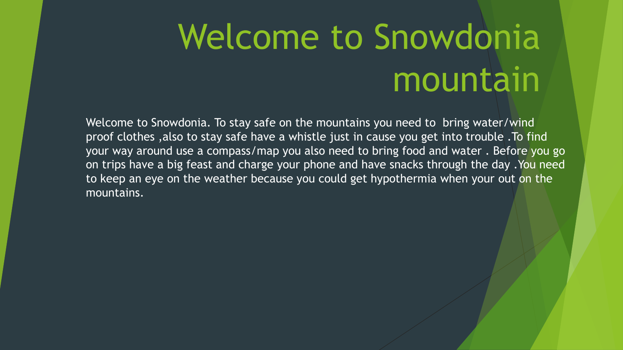## Welcome to Snowdonia mountain

Welcome to Snowdonia. To stay safe on the mountains you need to bring water/wind proof clothes ,also to stay safe have a whistle just in cause you get into trouble .To find your way around use a compass/map you also need to bring food and water . Before you go on trips have a big feast and charge your phone and have snacks through the day .You need to keep an eye on the weather because you could get hypothermia when your out on the mountains.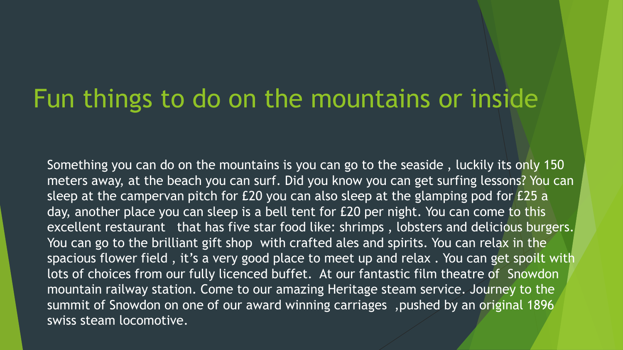## Fun things to do on the mountains or inside

Something you can do on the mountains is you can go to the seaside , luckily its only 150 meters away, at the beach you can surf. Did you know you can get surfing lessons? You can sleep at the campervan pitch for £20 you can also sleep at the glamping pod for £25 a day, another place you can sleep is a bell tent for £20 per night. You can come to this excellent restaurant that has five star food like: shrimps, lobsters and delicious burgers. You can go to the brilliant gift shop with crafted ales and spirits. You can relax in the spacious flower field , it's a very good place to meet up and relax . You can get spoilt with lots of choices from our fully licenced buffet. At our fantastic film theatre of Snowdon mountain railway station. Come to our amazing Heritage steam service. Journey to the summit of Snowdon on one of our award winning carriages ,pushed by an original 1896 swiss steam locomotive.